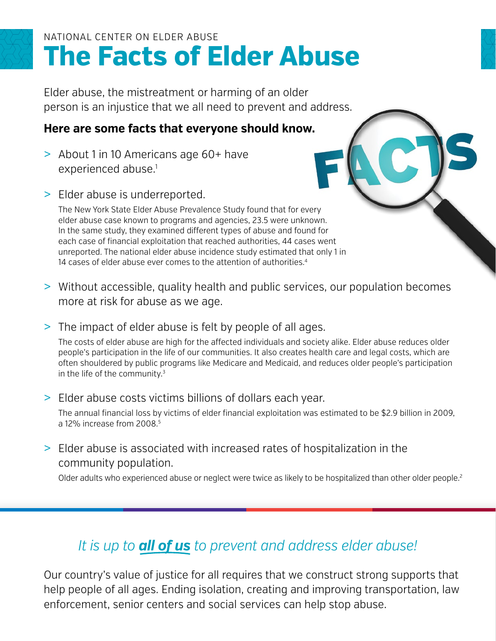## **The F acts o f Elder Abuse** NATIONAL CENTER ON ELDER ABUSE

Elder abuse, the mistreatment or harming of an older person is an injustice that we all need to prevent and address.

### **Here are some facts that everyone should know.**

- > About 1 in 10 Americans age 60+ have experienced abuse.<sup>1</sup>
- > Elder abuse is underreported.

The New York State Elder Abuse Prevalence Study found that for every elder abuse case known to programs and agencies, 23.5 were unknown. In the same study, they examined different types of abuse and found for each case of financial exploitation that reached authorities, 44 cases went unreported. The national elder abuse incidence study estimated that only 1 in 14 cases of elder abuse ever comes to the attention of authorities.<sup>4</sup>

- > Without accessible, quality health and public services, our population becomes more at risk for abuse as we age.
- > The impact of elder abuse is felt by people of all ages.

The costs of elder abuse are high for the affected individuals and society alike. Elder abuse reduces older people's participation in the life of our communities. It also creates health care and legal costs, which are often shouldered by public programs like Medicare and Medicaid, and reduces older people's participation in the life of the community.3

#### > Elder abuse costs victims billions of dollars each year.

The annual financial loss by victims of elder financial exploitation was estimated to be \$2.9 billion in 2009, a 12% increase from 2008.5

> Elder abuse is associated with increased rates of hospitalization in the community population.

Older adults who experienced abuse or neglect were twice as likely to be hospitalized than other older people.<sup>2</sup>

## *It is up to all of us to prevent and address elder abuse!*

Our country's value of justice for all requires that we construct strong supports that help people of all ages. Ending isolation, creating and improving transportation, law enforcement, senior centers and social services can help stop abuse.